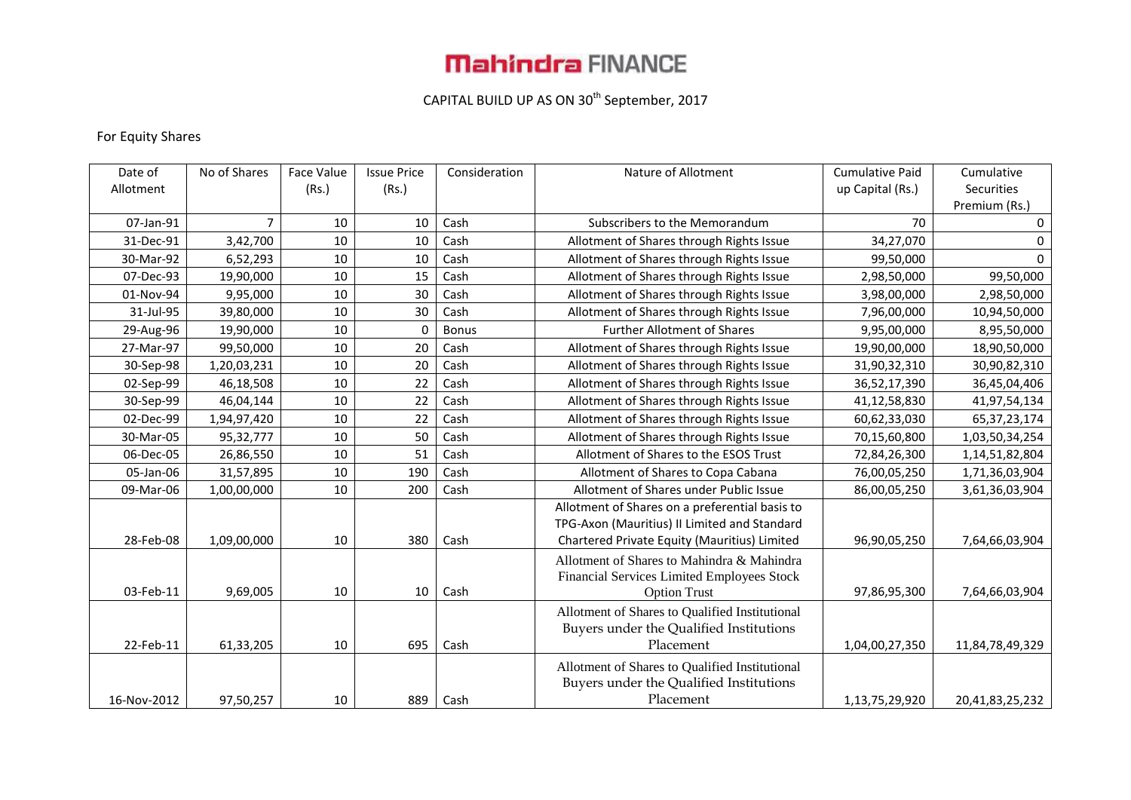# **Mahindra FINANCE**

## CAPITAL BUILD UP AS ON 30<sup>th</sup> September, 2017

### For Equity Shares

| Date of     | No of Shares | <b>Face Value</b> | <b>Issue Price</b> | Consideration | Nature of Allotment                            | <b>Cumulative Paid</b> | Cumulative      |
|-------------|--------------|-------------------|--------------------|---------------|------------------------------------------------|------------------------|-----------------|
| Allotment   |              | (Rs.)             | (Rs.)              |               |                                                | up Capital (Rs.)       | Securities      |
|             |              |                   |                    |               |                                                |                        | Premium (Rs.)   |
| 07-Jan-91   | 7            | 10                | 10                 | Cash          | Subscribers to the Memorandum                  | 70                     | $\mathbf 0$     |
| 31-Dec-91   | 3,42,700     | 10                | 10                 | Cash          | Allotment of Shares through Rights Issue       | 34,27,070              | 0               |
| 30-Mar-92   | 6,52,293     | 10                | 10                 | Cash          | Allotment of Shares through Rights Issue       | 99,50,000              | $\Omega$        |
| 07-Dec-93   | 19,90,000    | 10                | 15                 | Cash          | Allotment of Shares through Rights Issue       | 2,98,50,000            | 99,50,000       |
| 01-Nov-94   | 9,95,000     | 10                | 30                 | Cash          | Allotment of Shares through Rights Issue       | 3,98,00,000            | 2,98,50,000     |
| 31-Jul-95   | 39,80,000    | 10                | 30                 | Cash          | Allotment of Shares through Rights Issue       | 7,96,00,000            | 10,94,50,000    |
| 29-Aug-96   | 19,90,000    | 10                | $\Omega$           | <b>Bonus</b>  | <b>Further Allotment of Shares</b>             | 9,95,00,000            | 8,95,50,000     |
| 27-Mar-97   | 99,50,000    | 10                | 20                 | Cash          | Allotment of Shares through Rights Issue       | 19,90,00,000           | 18,90,50,000    |
| 30-Sep-98   | 1,20,03,231  | 10                | 20                 | Cash          | Allotment of Shares through Rights Issue       | 31,90,32,310           | 30,90,82,310    |
| 02-Sep-99   | 46,18,508    | 10                | 22                 | Cash          | Allotment of Shares through Rights Issue       | 36,52,17,390           | 36,45,04,406    |
| 30-Sep-99   | 46,04,144    | 10                | 22                 | Cash          | Allotment of Shares through Rights Issue       | 41,12,58,830           | 41,97,54,134    |
| 02-Dec-99   | 1,94,97,420  | 10                | 22                 | Cash          | Allotment of Shares through Rights Issue       | 60,62,33,030           | 65, 37, 23, 174 |
| 30-Mar-05   | 95,32,777    | 10                | 50                 | Cash          | Allotment of Shares through Rights Issue       | 70,15,60,800           | 1,03,50,34,254  |
| 06-Dec-05   | 26,86,550    | 10                | 51                 | Cash          | Allotment of Shares to the ESOS Trust          | 72,84,26,300           | 1,14,51,82,804  |
| 05-Jan-06   | 31,57,895    | 10                | 190                | Cash          | Allotment of Shares to Copa Cabana             | 76,00,05,250           | 1,71,36,03,904  |
| 09-Mar-06   | 1,00,00,000  | 10                | 200                | Cash          | Allotment of Shares under Public Issue         | 86,00,05,250           | 3,61,36,03,904  |
|             |              |                   |                    |               | Allotment of Shares on a preferential basis to |                        |                 |
|             |              |                   |                    |               | TPG-Axon (Mauritius) II Limited and Standard   |                        |                 |
| 28-Feb-08   | 1,09,00,000  | 10                | 380                | Cash          | Chartered Private Equity (Mauritius) Limited   | 96,90,05,250           | 7,64,66,03,904  |
|             |              |                   |                    |               | Allotment of Shares to Mahindra & Mahindra     |                        |                 |
|             |              |                   |                    |               | Financial Services Limited Employees Stock     |                        |                 |
| 03-Feb-11   | 9,69,005     | 10                | 10                 | Cash          | <b>Option Trust</b>                            | 97,86,95,300           | 7,64,66,03,904  |
|             |              |                   |                    |               | Allotment of Shares to Qualified Institutional |                        |                 |
|             |              |                   |                    |               | Buyers under the Qualified Institutions        |                        |                 |
| 22-Feb-11   | 61,33,205    | 10                | 695                | Cash          | Placement                                      | 1,04,00,27,350         | 11,84,78,49,329 |
|             |              |                   |                    |               | Allotment of Shares to Qualified Institutional |                        |                 |
|             |              |                   |                    |               | Buyers under the Qualified Institutions        |                        |                 |
| 16-Nov-2012 | 97,50,257    | 10                | 889                | Cash          | Placement                                      | 1,13,75,29,920         | 20,41,83,25,232 |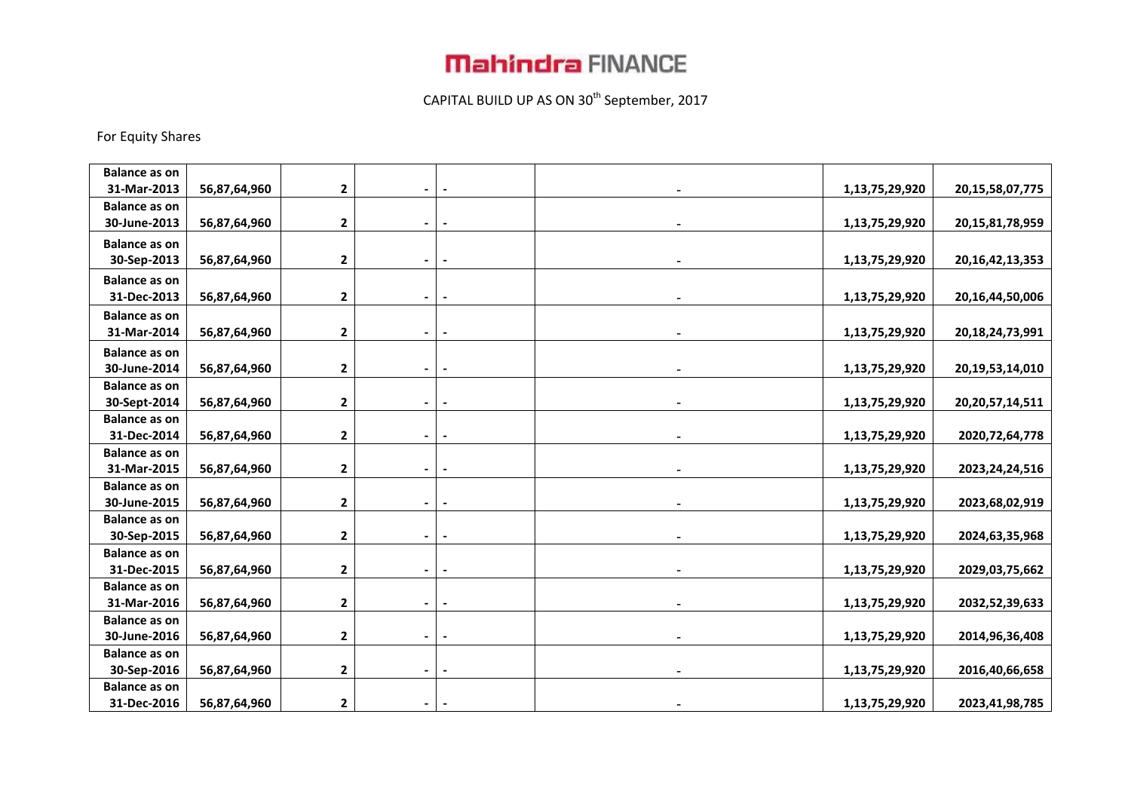## **Mahindra FINANCE**

## CAPITAL BUILD UP AS ON 30<sup>th</sup> September, 2017

#### For Equity Shares

| <b>Balance as on</b>                |              |                |                |                          |                |                     |
|-------------------------------------|--------------|----------------|----------------|--------------------------|----------------|---------------------|
| 31-Mar-2013                         | 56,87,64,960 | 2              |                |                          | 1,13,75,29,920 | 20, 15, 58, 07, 775 |
| <b>Balance as on</b>                |              |                |                |                          |                |                     |
| 30-June-2013                        | 56,87,64,960 | 2              |                |                          | 1,13,75,29,920 | 20,15,81,78,959     |
| <b>Balance as on</b>                |              |                |                |                          |                |                     |
| 30-Sep-2013                         | 56,87,64,960 | 2              | $\blacksquare$ | $\overline{\phantom{a}}$ | 1,13,75,29,920 | 20, 16, 42, 13, 353 |
| <b>Balance as on</b>                |              |                |                |                          |                |                     |
| 31-Dec-2013                         | 56,87,64,960 | 2              | $\blacksquare$ |                          | 1,13,75,29,920 | 20,16,44,50,006     |
| <b>Balance as on</b>                |              |                |                |                          |                |                     |
| 31-Mar-2014                         | 56,87,64,960 | 2              |                | $\overline{\phantom{a}}$ | 1,13,75,29,920 | 20, 18, 24, 73, 991 |
| <b>Balance as on</b>                |              |                |                |                          |                |                     |
| 30-June-2014                        | 56,87,64,960 | 2              |                |                          | 1,13,75,29,920 | 20, 19, 53, 14, 010 |
| <b>Balance as on</b>                |              |                |                |                          |                |                     |
| 30-Sept-2014                        | 56,87,64,960 | $\mathbf{2}$   |                |                          | 1,13,75,29,920 | 20, 20, 57, 14, 511 |
| <b>Balance as on</b>                |              |                |                |                          |                |                     |
| 31-Dec-2014                         | 56,87,64,960 | 2              | $\blacksquare$ |                          | 1,13,75,29,920 | 2020, 72, 64, 778   |
| <b>Balance as on</b>                |              |                |                |                          |                |                     |
| 31-Mar-2015                         | 56,87,64,960 | 2              |                |                          | 1,13,75,29,920 | 2023, 24, 24, 516   |
| <b>Balance as on</b>                |              |                |                |                          |                |                     |
| 30-June-2015                        | 56,87,64,960 | $\overline{2}$ | $\blacksquare$ |                          | 1,13,75,29,920 | 2023,68,02,919      |
| <b>Balance as on</b>                |              |                |                |                          |                |                     |
| 30-Sep-2015                         | 56,87,64,960 | 2              |                |                          | 1,13,75,29,920 | 2024,63,35,968      |
| <b>Balance as on</b>                |              |                |                |                          |                |                     |
| 31-Dec-2015                         | 56,87,64,960 | 2              |                |                          | 1,13,75,29,920 | 2029,03,75,662      |
| <b>Balance as on</b>                |              |                |                |                          |                |                     |
| 31-Mar-2016                         | 56,87,64,960 | 2              |                |                          | 1,13,75,29,920 | 2032,52,39,633      |
| <b>Balance as on</b>                |              |                |                |                          |                |                     |
| 30-June-2016                        | 56,87,64,960 | $\mathbf{2}$   |                |                          | 1,13,75,29,920 | 2014, 96, 36, 408   |
| <b>Balance as on</b>                |              |                |                |                          |                |                     |
| 30-Sep-2016                         | 56,87,64,960 | 2              |                |                          | 1,13,75,29,920 | 2016,40,66,658      |
| <b>Balance as on</b><br>31-Dec-2016 |              |                |                |                          |                |                     |
|                                     | 56,87,64,960 | $\mathbf{2}$   |                |                          | 1,13,75,29,920 | 2023,41,98,785      |